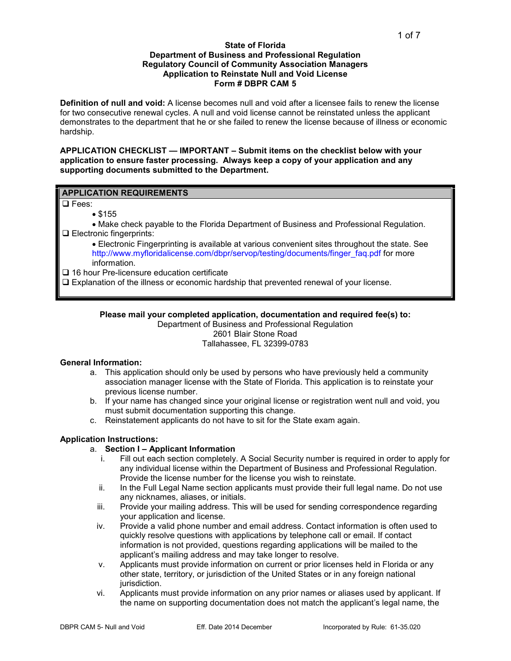#### **State of Florida Department of Business and Professional Regulation Regulatory Council of Community Association Managers Application to Reinstate Null and Void License Form # DBPR CAM 5**

**Definition of null and void:** A license becomes null and void after a licensee fails to renew the license for two consecutive renewal cycles. A null and void license cannot be reinstated unless the applicant demonstrates to the department that he or she failed to renew the license because of illness or economic hardship.

**APPLICATION CHECKLIST — IMPORTANT – Submit items on the checklist below with your application to ensure faster processing. Always keep a copy of your application and any supporting documents submitted to the Department.** 

# **APPLICATION REQUIREMENTS**

**Q** Fees:

• \$155

• Make check payable to the Florida Department of Business and Professional Regulation. **Electronic fingerprints:** 

• Electronic Fingerprinting is available at various convenient sites throughout the state. See [http://www.myfloridalicense.com/dbpr/servop/testing/documents/finger\\_faq.pdf](http://www.myfloridalicense.com/dbpr/servop/testing/documents/finger_faq.pdf) for more information.

□ 16 hour Pre-licensure education certificate

 $\Box$  Explanation of the illness or economic hardship that prevented renewal of your license.

# **Please mail your completed application, documentation and required fee(s) to:**

Department of Business and Professional Regulation 2601 Blair Stone Road Tallahassee, FL 32399-0783

#### **General Information:**

- a. This application should only be used by persons who have previously held a community association manager license with the State of Florida. This application is to reinstate your previous license number.
- b. If your name has changed since your original license or registration went null and void, you must submit documentation supporting this change.
- c. Reinstatement applicants do not have to sit for the State exam again.

# **Application Instructions:**

#### a. **Section I – Applicant Information**

- i. Fill out each section completely. A Social Security number is required in order to apply for any individual license within the Department of Business and Professional Regulation. Provide the license number for the license you wish to reinstate.
- ii. In the Full Legal Name section applicants must provide their full legal name. Do not use any nicknames, aliases, or initials.
- iii. Provide your mailing address. This will be used for sending correspondence regarding your application and license.
- iv. Provide a valid phone number and email address. Contact information is often used to quickly resolve questions with applications by telephone call or email. If contact information is not provided, questions regarding applications will be mailed to the applicant's mailing address and may take longer to resolve.
- v. Applicants must provide information on current or prior licenses held in Florida or any other state, territory, or jurisdiction of the United States or in any foreign national jurisdiction.
- vi. Applicants must provide information on any prior names or aliases used by applicant. If the name on supporting documentation does not match the applicant's legal name, the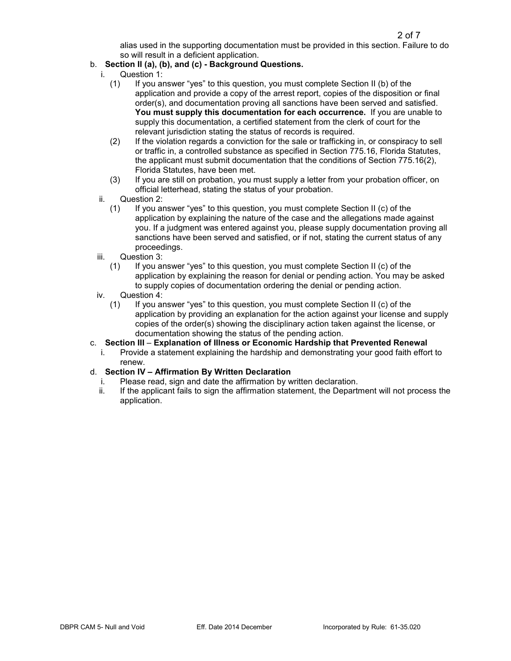alias used in the supporting documentation must be provided in this section. Failure to do so will result in a deficient application.

# b. **Section II (a), (b), and (c) - Background Questions.**

- i. Question 1:
	- (1) If you answer "yes" to this question, you must complete Section II (b) of the application and provide a copy of the arrest report, copies of the disposition or final order(s), and documentation proving all sanctions have been served and satisfied. **You must supply this documentation for each occurrence.** If you are unable to supply this documentation, a certified statement from the clerk of court for the relevant jurisdiction stating the status of records is required.
	- (2) If the violation regards a conviction for the sale or trafficking in, or conspiracy to sell or traffic in, a controlled substance as specified in Section 775.16, Florida Statutes, the applicant must submit documentation that the conditions of Section 775.16(2), Florida Statutes, have been met.
	- (3) If you are still on probation, you must supply a letter from your probation officer, on official letterhead, stating the status of your probation.
- ii. Question 2:
	- (1) If you answer "yes" to this question, you must complete Section II (c) of the application by explaining the nature of the case and the allegations made against you. If a judgment was entered against you, please supply documentation proving all sanctions have been served and satisfied, or if not, stating the current status of any proceedings.
- iii. Question 3:
	- (1) If you answer "yes" to this question, you must complete Section II (c) of the application by explaining the reason for denial or pending action. You may be asked to supply copies of documentation ordering the denial or pending action.
- iv. Question 4:
	- (1) If you answer "yes" to this question, you must complete Section II (c) of the application by providing an explanation for the action against your license and supply copies of the order(s) showing the disciplinary action taken against the license, or documentation showing the status of the pending action.

# c. **Section III** – **Explanation of Illness or Economic Hardship that Prevented Renewal**

Provide a statement explaining the hardship and demonstrating your good faith effort to renew.

# d. **Section IV – Affirmation By Written Declaration**

- i. Please read, sign and date the affirmation by written declaration.<br>ii. If the applicant fails to sign the affirmation statement, the Departr
- If the applicant fails to sign the affirmation statement, the Department will not process the application.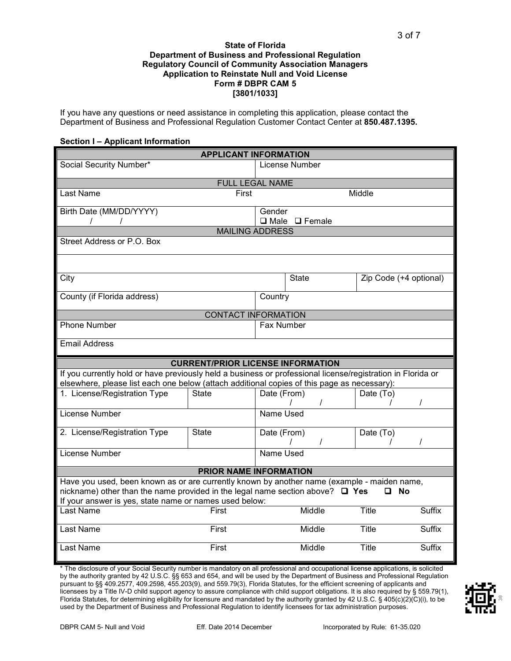#### **State of Florida Department of Business and Professional Regulation Regulatory Council of Community Association Managers Application to Reinstate Null and Void License Form # DBPR CAM 5 [3801/1033]**

If you have any questions or need assistance in completing this application, please contact the Department of Business and Professional Regulation Customer Contact Center at **850.487.1395.** 

#### **Section I – Applicant Information**

|                                                                                                                                                                                                            | <b>APPLICANT INFORMATION</b>             |                                     |                        |               |
|------------------------------------------------------------------------------------------------------------------------------------------------------------------------------------------------------------|------------------------------------------|-------------------------------------|------------------------|---------------|
| Social Security Number*                                                                                                                                                                                    |                                          | License Number                      |                        |               |
|                                                                                                                                                                                                            | <b>FULL LEGAL NAME</b>                   |                                     |                        |               |
| Last Name                                                                                                                                                                                                  | First                                    |                                     | Middle                 |               |
| Birth Date (MM/DD/YYYY)<br>$\prime$<br>$\prime$                                                                                                                                                            |                                          | Gender<br>$\Box$ Male $\Box$ Female |                        |               |
|                                                                                                                                                                                                            | <b>MAILING ADDRESS</b>                   |                                     |                        |               |
| Street Address or P.O. Box                                                                                                                                                                                 |                                          |                                     |                        |               |
|                                                                                                                                                                                                            |                                          |                                     |                        |               |
| City                                                                                                                                                                                                       |                                          | <b>State</b>                        | Zip Code (+4 optional) |               |
| County (if Florida address)                                                                                                                                                                                |                                          | Country                             |                        |               |
|                                                                                                                                                                                                            | <b>CONTACT INFORMATION</b>               |                                     |                        |               |
| <b>Phone Number</b>                                                                                                                                                                                        |                                          | Fax Number                          |                        |               |
| <b>Email Address</b>                                                                                                                                                                                       |                                          |                                     |                        |               |
|                                                                                                                                                                                                            |                                          |                                     |                        |               |
|                                                                                                                                                                                                            | <b>CURRENT/PRIOR LICENSE INFORMATION</b> |                                     |                        |               |
| If you currently hold or have previously held a business or professional license/registration in Florida or<br>elsewhere, please list each one below (attach additional copies of this page as necessary): |                                          |                                     |                        |               |
| 1. License/Registration Type                                                                                                                                                                               | <b>State</b>                             | Date (From)<br>T                    | Date (To)              | $\prime$      |
| License Number                                                                                                                                                                                             |                                          | Name Used                           |                        |               |
| 2. License/Registration Type                                                                                                                                                                               | <b>State</b>                             | Date (From)<br>T                    | Date (To)              | T             |
| License Number                                                                                                                                                                                             |                                          | Name Used                           |                        |               |
|                                                                                                                                                                                                            | PRIOR NAME INFORMATION                   |                                     |                        |               |
| Have you used, been known as or are currently known by another name (example - maiden name,<br>nickname) other than the name provided in the legal name section above? $\Box$ Yes                          |                                          |                                     | □ No                   |               |
| If your answer is yes, state name or names used below:                                                                                                                                                     |                                          |                                     |                        |               |
| Last Name                                                                                                                                                                                                  | First                                    | Middle                              | <b>Title</b>           | <b>Suffix</b> |
| <b>Last Name</b>                                                                                                                                                                                           | First                                    | Middle                              | <b>Title</b>           | <b>Suffix</b> |

\* The disclosure of your Social Security number is mandatory on all professional and occupational license applications, is solicited by the authority granted by 42 U.S.C. §§ 653 and 654, and will be used by the Department of Business and Professional Regulation pursuant to §§ 409.2577, 409.2598, 455.203(9), and 559.79(3), Florida Statutes, for the efficient screening of applicants and licensees by a Title IV-D child support agency to assure compliance with child support obligations. It is also required by § 559.79(1), Florida Statutes, for determining eligibility for licensure and mandated by the authority granted by 42 U.S.C. § 405(c)(2)(C)(i), to be used by the Department of Business and Professional Regulation to identify licensees for tax administration purposes.

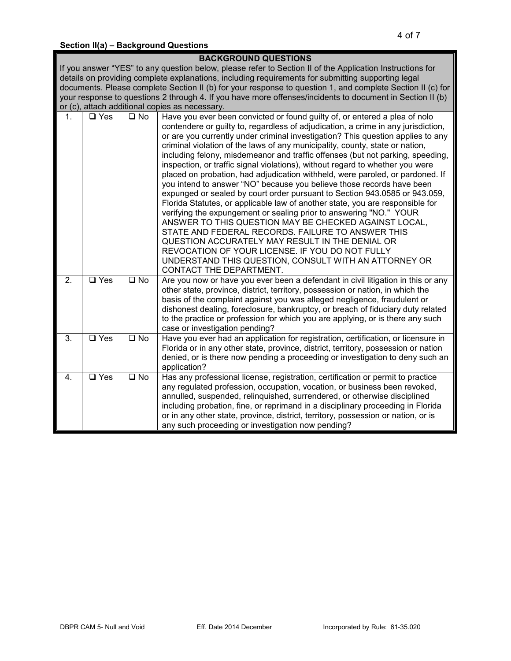# **Section II(a) – Background Questions**

|                  |                          |                         | <b>BACKGROUND QUESTIONS</b>                                                                                                                                                                                                                                                                                                                                                                                                                                                                                                                                                                                                                                                                                                                                                                                                                                                                                                                                                                                                                                           |
|------------------|--------------------------|-------------------------|-----------------------------------------------------------------------------------------------------------------------------------------------------------------------------------------------------------------------------------------------------------------------------------------------------------------------------------------------------------------------------------------------------------------------------------------------------------------------------------------------------------------------------------------------------------------------------------------------------------------------------------------------------------------------------------------------------------------------------------------------------------------------------------------------------------------------------------------------------------------------------------------------------------------------------------------------------------------------------------------------------------------------------------------------------------------------|
|                  |                          |                         | If you answer "YES" to any question below, please refer to Section II of the Application Instructions for                                                                                                                                                                                                                                                                                                                                                                                                                                                                                                                                                                                                                                                                                                                                                                                                                                                                                                                                                             |
|                  |                          |                         | details on providing complete explanations, including requirements for submitting supporting legal                                                                                                                                                                                                                                                                                                                                                                                                                                                                                                                                                                                                                                                                                                                                                                                                                                                                                                                                                                    |
|                  |                          |                         | documents. Please complete Section II (b) for your response to question 1, and complete Section II (c) for                                                                                                                                                                                                                                                                                                                                                                                                                                                                                                                                                                                                                                                                                                                                                                                                                                                                                                                                                            |
|                  |                          |                         | your response to questions 2 through 4. If you have more offenses/incidents to document in Section II (b)                                                                                                                                                                                                                                                                                                                                                                                                                                                                                                                                                                                                                                                                                                                                                                                                                                                                                                                                                             |
|                  |                          |                         | or (c), attach additional copies as necessary.                                                                                                                                                                                                                                                                                                                                                                                                                                                                                                                                                                                                                                                                                                                                                                                                                                                                                                                                                                                                                        |
| 1 <sub>1</sub>   | $\square$ Yes            | $\square$ No            | Have you ever been convicted or found guilty of, or entered a plea of nolo<br>contendere or guilty to, regardless of adjudication, a crime in any jurisdiction,<br>or are you currently under criminal investigation? This question applies to any<br>criminal violation of the laws of any municipality, county, state or nation,<br>including felony, misdemeanor and traffic offenses (but not parking, speeding,<br>inspection, or traffic signal violations), without regard to whether you were<br>placed on probation, had adjudication withheld, were paroled, or pardoned. If<br>you intend to answer "NO" because you believe those records have been<br>expunged or sealed by court order pursuant to Section 943.0585 or 943.059,<br>Florida Statutes, or applicable law of another state, you are responsible for<br>verifying the expungement or sealing prior to answering "NO." YOUR<br>ANSWER TO THIS QUESTION MAY BE CHECKED AGAINST LOCAL,<br>STATE AND FEDERAL RECORDS. FAILURE TO ANSWER THIS<br>QUESTION ACCURATELY MAY RESULT IN THE DENIAL OR |
|                  |                          |                         | REVOCATION OF YOUR LICENSE. IF YOU DO NOT FULLY<br>UNDERSTAND THIS QUESTION, CONSULT WITH AN ATTORNEY OR<br>CONTACT THE DEPARTMENT.                                                                                                                                                                                                                                                                                                                                                                                                                                                                                                                                                                                                                                                                                                                                                                                                                                                                                                                                   |
| $\overline{2}$ . | $\overline{\Box}$ Yes    | $\overline{\square}$ No | Are you now or have you ever been a defendant in civil litigation in this or any<br>other state, province, district, territory, possession or nation, in which the<br>basis of the complaint against you was alleged negligence, fraudulent or<br>dishonest dealing, foreclosure, bankruptcy, or breach of fiduciary duty related<br>to the practice or profession for which you are applying, or is there any such<br>case or investigation pending?                                                                                                                                                                                                                                                                                                                                                                                                                                                                                                                                                                                                                 |
| $\overline{3}$ . | $\overline{\square}$ Yes | $\square$ No            | Have you ever had an application for registration, certification, or licensure in<br>Florida or in any other state, province, district, territory, possession or nation<br>denied, or is there now pending a proceeding or investigation to deny such an<br>application?                                                                                                                                                                                                                                                                                                                                                                                                                                                                                                                                                                                                                                                                                                                                                                                              |
| 4.               | $\overline{\square}$ Yes | $\overline{\square}$ No | Has any professional license, registration, certification or permit to practice<br>any regulated profession, occupation, vocation, or business been revoked,<br>annulled, suspended, relinquished, surrendered, or otherwise disciplined<br>including probation, fine, or reprimand in a disciplinary proceeding in Florida<br>or in any other state, province, district, territory, possession or nation, or is<br>any such proceeding or investigation now pending?                                                                                                                                                                                                                                                                                                                                                                                                                                                                                                                                                                                                 |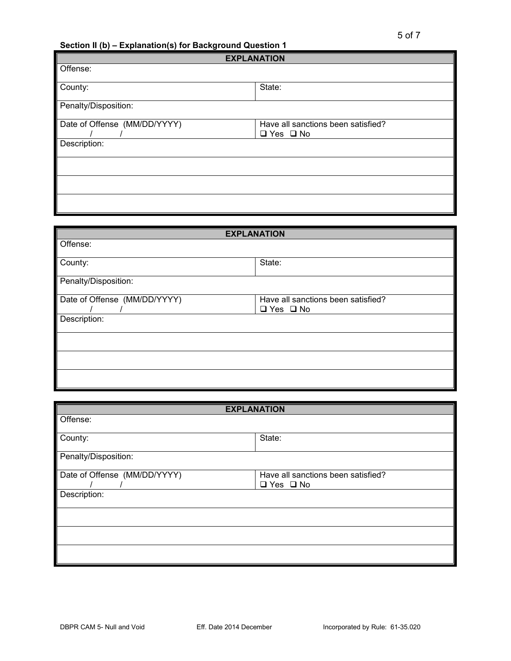**Section II (b) – Explanation(s) for Background Question 1** 

| <b>EXPLANATION</b>                 |  |
|------------------------------------|--|
|                                    |  |
|                                    |  |
| State:                             |  |
|                                    |  |
| Have all sanctions been satisfied? |  |
| $\Box$ Yes $\Box$ No               |  |
|                                    |  |
|                                    |  |
|                                    |  |
|                                    |  |
|                                    |  |
|                                    |  |
|                                    |  |

| <b>EXPLANATION</b>           |                                    |  |
|------------------------------|------------------------------------|--|
| Offense:                     |                                    |  |
|                              |                                    |  |
| County:                      | State:                             |  |
| Penalty/Disposition:         |                                    |  |
| Date of Offense (MM/DD/YYYY) | Have all sanctions been satisfied? |  |
|                              | $\Box$ Yes $\Box$ No               |  |
| Description:                 |                                    |  |
|                              |                                    |  |
|                              |                                    |  |
|                              |                                    |  |
|                              |                                    |  |

|                              | <b>EXPLANATION</b>                                         |  |
|------------------------------|------------------------------------------------------------|--|
| Offense:                     |                                                            |  |
| County:                      | State:                                                     |  |
| Penalty/Disposition:         |                                                            |  |
| Date of Offense (MM/DD/YYYY) | Have all sanctions been satisfied?<br>$\Box$ Yes $\Box$ No |  |
| Description:                 |                                                            |  |
|                              |                                                            |  |
|                              |                                                            |  |
|                              |                                                            |  |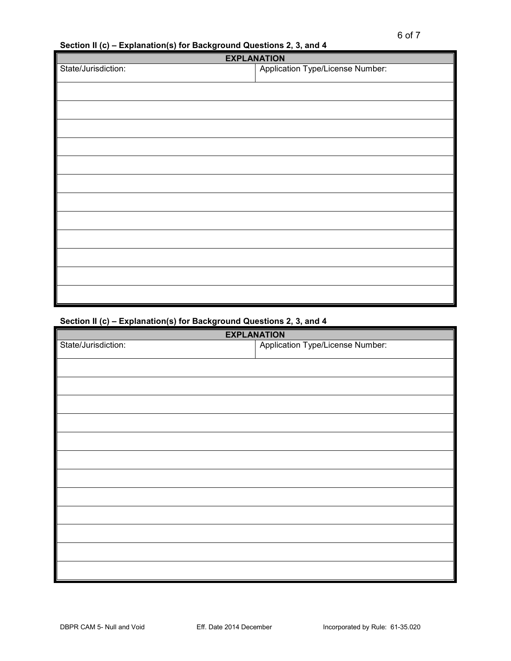**Section II (c) – Explanation(s) for Background Questions 2, 3, and 4**

| <b>EXPLANATION</b>  |                                         |  |
|---------------------|-----------------------------------------|--|
| State/Jurisdiction: | <b>Application Type/License Number:</b> |  |
|                     |                                         |  |
|                     |                                         |  |
|                     |                                         |  |
|                     |                                         |  |
|                     |                                         |  |
|                     |                                         |  |
|                     |                                         |  |
|                     |                                         |  |
|                     |                                         |  |
|                     |                                         |  |
|                     |                                         |  |
|                     |                                         |  |
|                     |                                         |  |

# **Section II (c) – Explanation(s) for Background Questions 2, 3, and 4**

| <b>EXPLANATION</b>  |                                  |
|---------------------|----------------------------------|
| State/Jurisdiction: | Application Type/License Number: |
|                     |                                  |
|                     |                                  |
|                     |                                  |
|                     |                                  |
|                     |                                  |
|                     |                                  |
|                     |                                  |
|                     |                                  |
|                     |                                  |
|                     |                                  |
|                     |                                  |
|                     |                                  |
|                     |                                  |